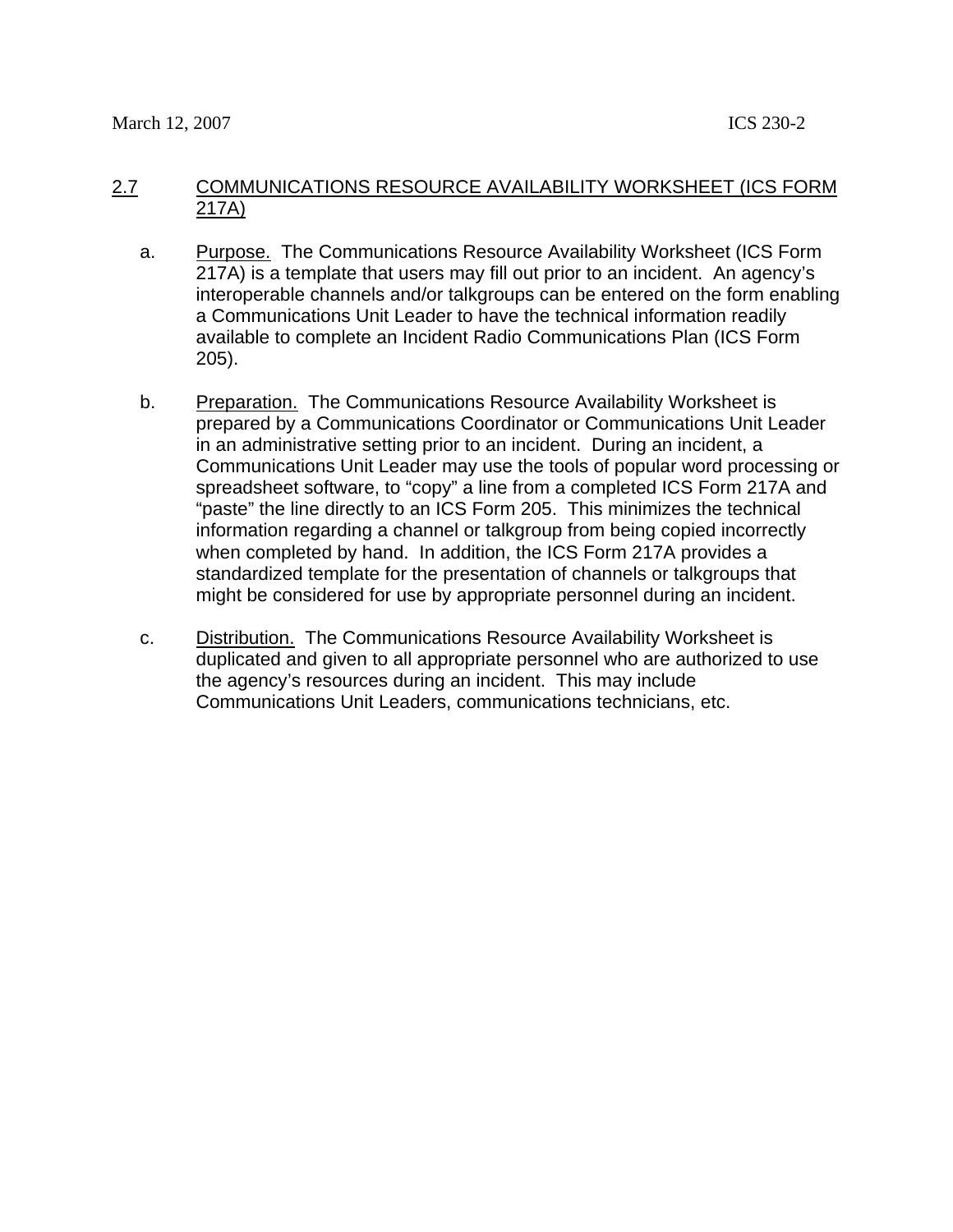## 2.7 COMMUNICATIONS RESOURCE AVAILABILITY WORKSHEET (ICS FORM 217A)

- a. Purpose. The Communications Resource Availability Worksheet (ICS Form 217A) is a template that users may fill out prior to an incident. An agency's interoperable channels and/or talkgroups can be entered on the form enabling a Communications Unit Leader to have the technical information readily available to complete an Incident Radio Communications Plan (ICS Form 205).
- b. Preparation. The Communications Resource Availability Worksheet is prepared by a Communications Coordinator or Communications Unit Leader in an administrative setting prior to an incident. During an incident, a Communications Unit Leader may use the tools of popular word processing or spreadsheet software, to "copy" a line from a completed ICS Form 217A and "paste" the line directly to an ICS Form 205. This minimizes the technical information regarding a channel or talkgroup from being copied incorrectly when completed by hand. In addition, the ICS Form 217A provides a standardized template for the presentation of channels or talkgroups that might be considered for use by appropriate personnel during an incident.
- c. Distribution. The Communications Resource Availability Worksheet is duplicated and given to all appropriate personnel who are authorized to use the agency's resources during an incident. This may include Communications Unit Leaders, communications technicians, etc.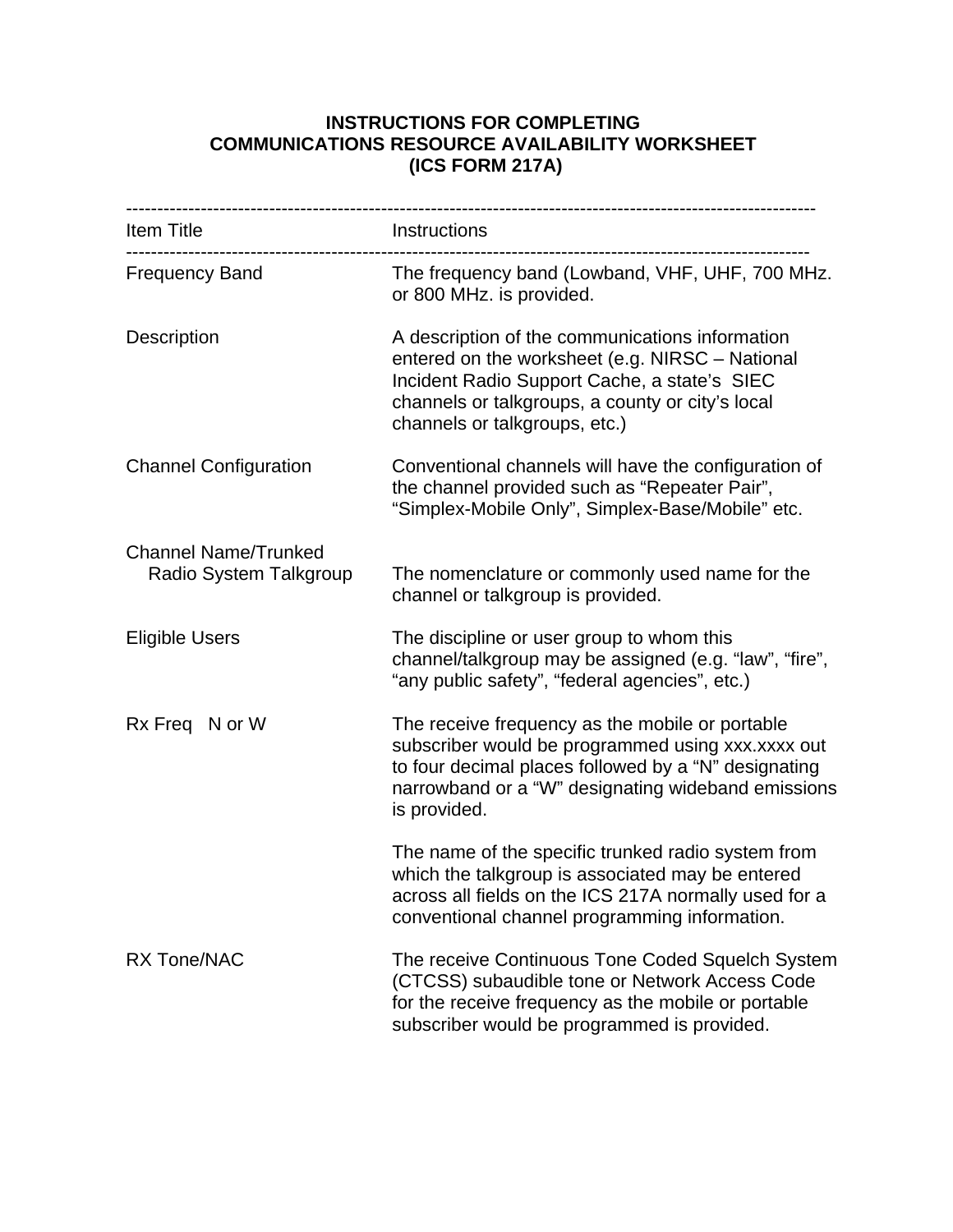## **INSTRUCTIONS FOR COMPLETING COMMUNICATIONS RESOURCE AVAILABILITY WORKSHEET (ICS FORM 217A)**

| ----------------------                                |                                                                                                                                                                                                                                         |
|-------------------------------------------------------|-----------------------------------------------------------------------------------------------------------------------------------------------------------------------------------------------------------------------------------------|
| Item Title                                            | Instructions                                                                                                                                                                                                                            |
| <b>Frequency Band</b>                                 | The frequency band (Lowband, VHF, UHF, 700 MHz.<br>or 800 MHz. is provided.                                                                                                                                                             |
| Description                                           | A description of the communications information<br>entered on the worksheet (e.g. NIRSC - National<br>Incident Radio Support Cache, a state's SIEC<br>channels or talkgroups, a county or city's local<br>channels or talkgroups, etc.) |
| <b>Channel Configuration</b>                          | Conventional channels will have the configuration of<br>the channel provided such as "Repeater Pair",<br>"Simplex-Mobile Only", Simplex-Base/Mobile" etc.                                                                               |
| <b>Channel Name/Trunked</b><br>Radio System Talkgroup | The nomenclature or commonly used name for the<br>channel or talkgroup is provided.                                                                                                                                                     |
| <b>Eligible Users</b>                                 | The discipline or user group to whom this<br>channel/talkgroup may be assigned (e.g. "law", "fire",<br>"any public safety", "federal agencies", etc.)                                                                                   |
| Rx Freq N or W                                        | The receive frequency as the mobile or portable<br>subscriber would be programmed using xxx.xxxx out<br>to four decimal places followed by a "N" designating<br>narrowband or a "W" designating wideband emissions<br>is provided.      |
|                                                       | The name of the specific trunked radio system from<br>which the talkgroup is associated may be entered<br>across all fields on the ICS 217A normally used for a<br>conventional channel programming information.                        |
| <b>RX Tone/NAC</b>                                    | The receive Continuous Tone Coded Squelch System<br>(CTCSS) subaudible tone or Network Access Code<br>for the receive frequency as the mobile or portable<br>subscriber would be programmed is provided.                                |